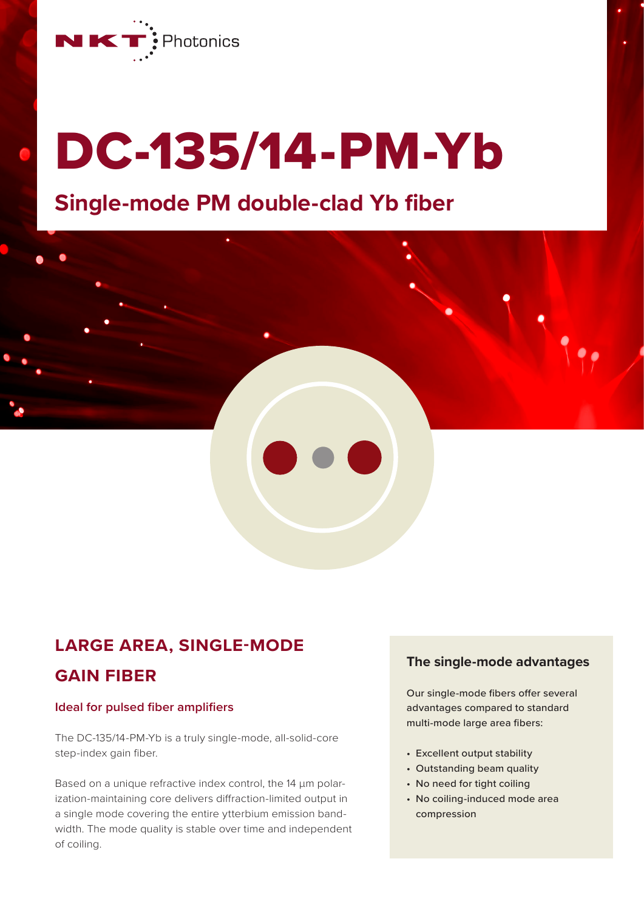

# DC-135/14-PM-Yb

## **Single-mode PM double-clad Yb fiber**

## **LARGE AREA, SINGLE-MODE**

#### **GAIN FIBER**

#### **Ideal for pulsed fiber amplifiers**

The DC-135/14-PM-Yb is a truly single-mode, all-solid-core step-index gain fiber.

Based on a unique refractive index control, the 14 µm polarization-maintaining core delivers diffraction-limited output in a single mode covering the entire ytterbium emission bandwidth. The mode quality is stable over time and independent of coiling.

#### **The single-mode advantages**

Our single-mode fibers offer several advantages compared to standard multi-mode large area fibers:

- Excellent output stability
- Outstanding beam quality
- No need for tight coiling
- No coiling-induced mode area compression